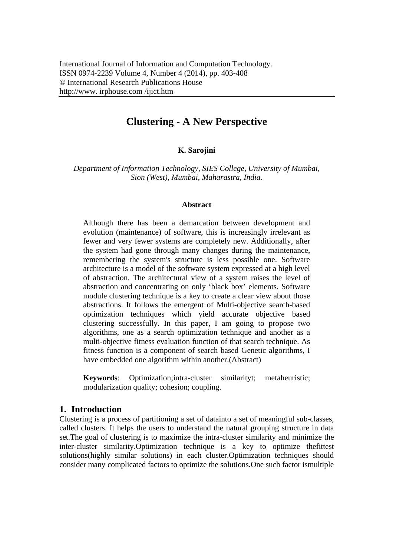# **Clustering - A New Perspective**

#### **K. Sarojini**

*Department of Information Technology, SIES College, University of Mumbai, Sion (West), Mumbai, Maharastra, India.* 

#### **Abstract**

Although there has been a demarcation between development and evolution (maintenance) of software, this is increasingly irrelevant as fewer and very fewer systems are completely new. Additionally, after the system had gone through many changes during the maintenance, remembering the system's structure is less possible one. Software architecture is a model of the software system expressed at a high level of abstraction. The architectural view of a system raises the level of abstraction and concentrating on only 'black box' elements. Software module clustering technique is a key to create a clear view about those abstractions. It follows the emergent of Multi-objective search-based optimization techniques which yield accurate objective based clustering successfully. In this paper, I am going to propose two algorithms, one as a search optimization technique and another as a multi-objective fitness evaluation function of that search technique. As fitness function is a component of search based Genetic algorithms, I have embedded one algorithm within another.(Abstract)

**Keywords**: Optimization;intra-cluster similarityt; metaheuristic; modularization quality; cohesion; coupling.

### **1. Introduction**

Clustering is a process of partitioning a set of datainto a set of meaningful sub-classes, called clusters. It helps the users to understand the natural grouping structure in data set.The goal of clustering is to maximize the intra-cluster similarity and minimize the inter-cluster similarity.Optimization technique is a key to optimize thefittest solutions(highly similar solutions) in each cluster.Optimization techniques should consider many complicated factors to optimize the solutions.One such factor ismultiple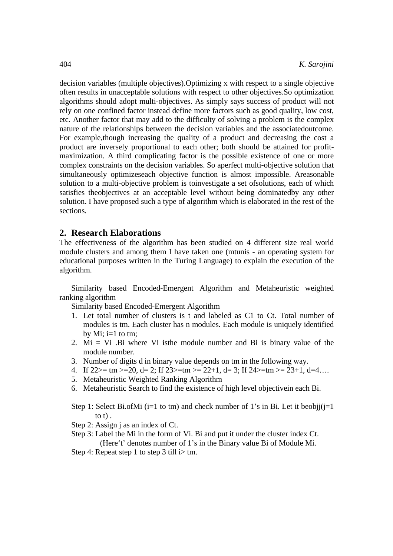decision variables (multiple objectives).Optimizing x with respect to a single objective often results in unacceptable solutions with respect to other objectives.So optimization algorithms should adopt multi-objectives. As simply says success of product will not rely on one confined factor instead define more factors such as good quality, low cost, etc. Another factor that may add to the difficulty of solving a problem is the complex nature of the relationships between the decision variables and the associatedoutcome. For example,though increasing the quality of a product and decreasing the cost a product are inversely proportional to each other; both should be attained for profitmaximization. A third complicating factor is the possible existence of one or more complex constraints on the decision variables. So aperfect multi-objective solution that simultaneously optimizeseach objective function is almost impossible. Areasonable solution to a multi-objective problem is toinvestigate a set ofsolutions, each of which satisfies theobjectives at an acceptable level without being dominatedby any other solution. I have proposed such a type of algorithm which is elaborated in the rest of the sections.

### **2. Research Elaborations**

The effectiveness of the algorithm has been studied on 4 different size real world module clusters and among them I have taken one (mtunis - an operating system for educational purposes written in the Turing Language) to explain the execution of the algorithm.

Similarity based Encoded-Emergent Algorithm and Metaheuristic weighted ranking algorithm

Similarity based Encoded-Emergent Algorithm

- 1. Let total number of clusters is t and labeled as C1 to Ct. Total number of modules is tm. Each cluster has n modules. Each module is uniquely identified by Mi;  $i=1$  to tm;
- 2. Mi = Vi .Bi where Vi isthe module number and Bi is binary value of the module number.
- 3. Number of digits d in binary value depends on tm in the following way.
- 4. If  $22>=$  tm  $>=$  20, d= 2; If  $23>=$ tm  $>=$   $22+1$ , d= 3; If  $24>=$ tm  $>=$   $23+1$ , d=4…
- 5. Metaheuristic Weighted Ranking Algorithm
- 6. Metaheuristic Search to find the existence of high level objectivein each Bi.

Step 1: Select Bi.ofMi ( $i=1$  to tm) and check number of 1's in Bi. Let it beobji( $i=1$ to t) .

Step 2: Assign j as an index of Ct.

- Step 3: Label the Mi in the form of Vi. Bi and put it under the cluster index Ct. (Here't' denotes number of 1's in the Binary value Bi of Module Mi.
- Step 4: Repeat step 1 to step 3 till i> tm.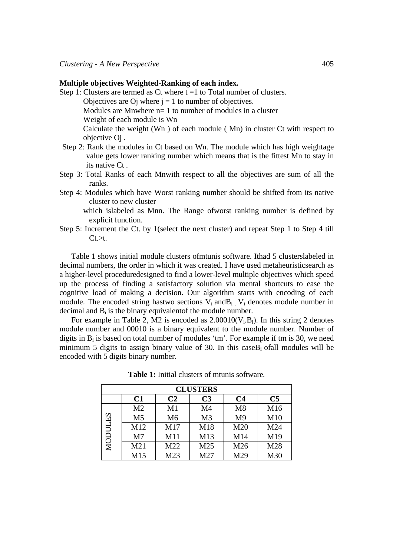#### **Multiple objectives Weighted-Ranking of each index.**

- Step 1: Clusters are termed as Ct where  $t = 1$  to Total number of clusters.
	- Objectives are O where  $i = 1$  to number of objectives.
	- Modules are Mnwhere n= 1 to number of modules in a cluster

Weight of each module is Wn

Calculate the weight (Wn ) of each module ( Mn) in cluster Ct with respect to objective Oj .

- Step 2: Rank the modules in Ct based on Wn. The module which has high weightage value gets lower ranking number which means that is the fittest Mn to stay in its native Ct .
- Step 3: Total Ranks of each Mnwith respect to all the objectives are sum of all the ranks.
- Step 4: Modules which have Worst ranking number should be shifted from its native cluster to new cluster
	- which islabeled as Mnn. The Range ofworst ranking number is defined by explicit function.
- Step 5: Increment the Ct. by 1(select the next cluster) and repeat Step 1 to Step 4 till  $Ct.$

Table 1 shows initial module clusters ofmtunis software. Ithad 5 clusterslabeled in decimal numbers, the order in which it was created. I have used metaheuristicsearch as a higher-level proceduredesigned to find a lower-level multiple objectives which speed up the process of finding a satisfactory solution via mental shortcuts to ease the cognitive load of making a decision. Our algorithm starts with encoding of each module. The encoded string hastwo sections  $V_i$  and  $B_i$ .  $V_i$  denotes module number in decimal and Bi is the binary equivalentof the module number.

For example in Table 2, M2 is encoded as  $2.00010(V_i.B_i)$ . In this string 2 denotes module number and 00010 is a binary equivalent to the module number. Number of digits in  $B_i$  is based on total number of modules 'tm'. For example if tm is 30, we need minimum 5 digits to assign binary value of 30. In this case  $B_i$  of all modules will be encoded with 5 digits binary number.

| <b>CLUSTERS</b> |                 |                |                |                |                |  |  |  |  |  |  |
|-----------------|-----------------|----------------|----------------|----------------|----------------|--|--|--|--|--|--|
|                 | C1              | C <sub>2</sub> | C <sub>3</sub> | C <sub>4</sub> | C <sub>5</sub> |  |  |  |  |  |  |
|                 | M <sub>2</sub>  | M1             | M <sub>4</sub> | M8             | M16            |  |  |  |  |  |  |
|                 | M <sub>5</sub>  | M <sub>6</sub> | M <sub>3</sub> | M <sub>9</sub> | M10            |  |  |  |  |  |  |
|                 | M12             | M17            | M18            | M20            | M24            |  |  |  |  |  |  |
| MODULES         | M <sub>7</sub>  | M11            | M13            | M14            | M19            |  |  |  |  |  |  |
|                 | M <sub>21</sub> | M22            | M25            | M26            | M28            |  |  |  |  |  |  |
|                 | M15             | M23            | M27            | M29            | M30            |  |  |  |  |  |  |

**Table 1:** Initial clusters of mtunis software*.*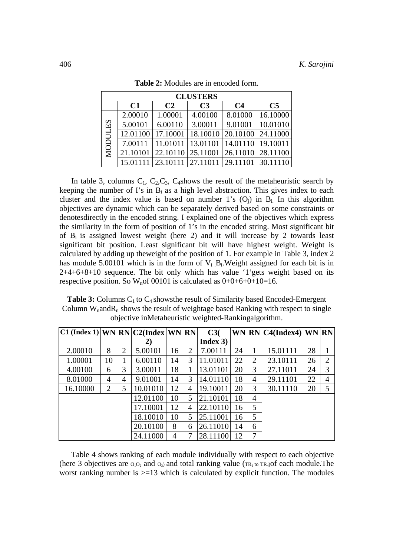| <b>CLUSTERS</b> |          |                |                                       |                |                |  |  |  |  |  |  |  |
|-----------------|----------|----------------|---------------------------------------|----------------|----------------|--|--|--|--|--|--|--|
|                 | C1       | C <sub>2</sub> | C <sub>3</sub>                        | C <sub>4</sub> | C <sub>5</sub> |  |  |  |  |  |  |  |
| <b>MODULES</b>  | 2.00010  | 1.00001        | 4.00100                               | 8.01000        | 16.10000       |  |  |  |  |  |  |  |
|                 | 5.00101  | 6.00110        | 3.00011                               | 9.01001        | 10.01010       |  |  |  |  |  |  |  |
|                 | 12.01100 | 17.10001       | 18.10010                              | 20.10100       | 24.11000       |  |  |  |  |  |  |  |
|                 | 7.00111  | 11.01011       | $\mid$ 13.01101   14.01110   19.10011 |                |                |  |  |  |  |  |  |  |
|                 | 21.10101 | 22.10110       | 25.11001                              | 26.11010       | 28.11100       |  |  |  |  |  |  |  |
|                 | 15.0111  |                | 23.10111   27.11011   29.11101        |                | 30.11110       |  |  |  |  |  |  |  |

**Table 2:** Modules are in encoded form.

In table 3, columns  $C_1$ ,  $C_2$ ,  $C_3$ ,  $C_4$ shows the result of the metaheuristic search by keeping the number of I's in  $B_i$  as a high level abstraction. This gives index to each cluster and the index value is based on number 1's  $(O_i)$  in  $B_i$ . In this algorithm objectives are dynamic which can be separately derived based on some constraints or denotesdirectly in the encoded string. I explained one of the objectives which express the similarity in the form of position of 1's in the encoded string. Most significant bit of  $B_i$  is assigned lowest weight (here 2) and it will increase by 2 towards least significant bit position. Least significant bit will have highest weight. Weight is calculated by adding up theweight of the position of 1. For example in Table 3, index 2 has module 5.00101 which is in the form of  $V_i$   $B_i$ . Weight assigned for each bit is in 2+4+6+8+10 sequence. The bit only which has value '1'gets weight based on its respective position. So  $W_n$  of 00101 is calculated as  $0+0+6+0+10=16$ .

**Table 3:** Columns C<sub>1</sub> to C<sub>4</sub> shows the result of Similarity based Encoded-Emergent Column  $W<sub>n</sub>$  and  $R<sub>n</sub>$  shows the result of weightage based Ranking with respect to single objective inMetaheuristic weighted-Rankingalgorithm.

| $ C1$ (Index 1) WN RN $ C2$ (Index WN RN) |    |   |          |    |   | C3(      |    |                | WN RN C4(Index4) WN RN |    |   |
|-------------------------------------------|----|---|----------|----|---|----------|----|----------------|------------------------|----|---|
|                                           |    |   | 2)       |    |   | Index 3) |    |                |                        |    |   |
| 2.00010                                   | 8  | 2 | 5.00101  | 16 | 2 | 7.00111  | 24 |                | 15.01111               | 28 |   |
| 1.00001                                   | 10 |   | 6.00110  | 14 | 3 | 11.01011 | 22 | $\overline{2}$ | 23.10111               | 26 | 2 |
| 4.00100                                   | 6  | 3 | 3.00011  | 18 |   | 13.01101 | 20 | 3              | 27.11011               | 24 | 3 |
| 8.01000                                   | 4  | 4 | 9.01001  | 14 | 3 | 14.01110 | 18 | 4              | 29.11101               | 22 | 4 |
| 16.10000                                  | 2  | 5 | 10.01010 | 12 | 4 | 19.10011 | 20 | 3              | 30.11110               | 20 | 5 |
|                                           |    |   | 12.01100 | 10 | 5 | 21.10101 | 18 | 4              |                        |    |   |
|                                           |    |   | 17.10001 | 12 | 4 | 22.10110 | 16 | 5              |                        |    |   |
|                                           |    |   | 18.10010 | 10 | 5 | 25.11001 | 16 | 5              |                        |    |   |
|                                           |    |   | 20.10100 | 8  | 6 | 26.11010 | 14 | 6              |                        |    |   |
|                                           |    |   | 24.11000 | 4  |   | 28.11100 | 12 | 7              |                        |    |   |

Table 4 shows ranking of each module individually with respect to each objective (here 3 objectives are  $o_1o_2$  and  $o_3$ ) and total ranking value ( $TR_1 \omega TR_4$ )of each module. The worst ranking number is  $>=13$  which is calculated by explicit function. The modules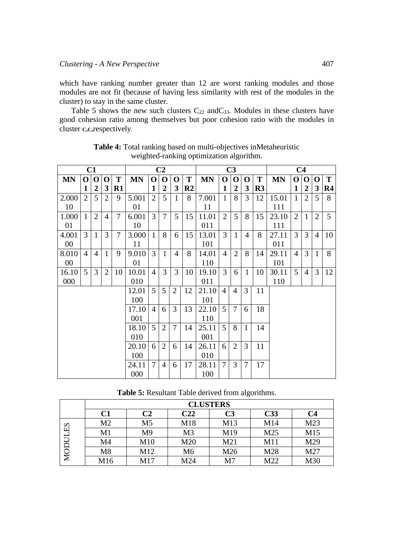which have ranking number greater than 12 are worst ranking modules and those modules are not fit (because of having less similarity with rest of the modules in the cluster) to stay in the same cluster.

Table 5 shows the new such clusters  $C_{22}$  and  $C_{33}$ . Modules in these clusters have good cohesion ratio among themselves but poor cohesion ratio with the modules in cluster **C<sub>2</sub>C<sub>3</sub>respectively**.

| C1        |                |                | C <sub>2</sub> |                |           |                | C <sub>3</sub> |                |                |           | C <sub>4</sub> |                 |                |                |           |                |                |                |                |
|-----------|----------------|----------------|----------------|----------------|-----------|----------------|----------------|----------------|----------------|-----------|----------------|-----------------|----------------|----------------|-----------|----------------|----------------|----------------|----------------|
| <b>MN</b> | $\mathbf 0$    | $\mathbf 0$    | O              | T              | <b>MN</b> | $\mathbf 0$    | $\mathbf 0$    | 0              | T              | <b>MN</b> | $\mathbf 0$    | $\bf{O}$        | O              | T              | <b>MN</b> | $\mathbf 0$    | $\Omega$       | $\Omega$       | T              |
|           | 1              | $\overline{2}$ | 3              | $R1$           |           | 1              | $\overline{2}$ | 3              | R <sub>2</sub> |           | 1              | $\overline{2}$  | 3              | R <sub>3</sub> |           | 1              | $\overline{2}$ | $\mathbf{3}$   | R4             |
| 2.000     | $\overline{2}$ | 5              | $\overline{2}$ | 9              | 5.001     | $\overline{2}$ | 5              | $\mathbf{1}$   | 8              | 7.001     | $\mathbf{1}$   | 8               | 3              | 12             | 15.01     | 1              | $\overline{2}$ | 5              | 8              |
| 10        |                |                |                |                | 01        |                |                |                |                | 11        |                |                 |                |                | 111       |                |                |                |                |
| 1.000     | $\mathbf{1}$   | $\overline{2}$ | $\overline{4}$ | $\overline{7}$ | 6.001     | $\overline{3}$ | $\overline{7}$ | 5              | 15             | 11.01     | $\overline{2}$ | $5\overline{)}$ | 8              | 15             | 23.10     | $\overline{2}$ | $\mathbf{1}$   | $\overline{2}$ | $\mathfrak{S}$ |
| 01        |                |                |                |                | 10        |                |                |                |                | 011       |                |                 |                |                | 111       |                |                |                |                |
| 4.001     | 3              | $\mathbf{1}$   | 3              | $\overline{7}$ | 3.000     | $\mathbf{1}$   | 8              | 6              | 15             | 13.01     | $\overline{3}$ | $\mathbf{1}$    | $\overline{4}$ | 8              | 27.11     | 3              | 3              | $\overline{4}$ | 10             |
| $00\,$    |                |                |                |                | 11        |                |                |                |                | 101       |                |                 |                |                | 011       |                |                |                |                |
| 8.010     | $\overline{4}$ | $\overline{4}$ | $\mathbf{1}$   | 9              | 9.010     | 3              | $\mathbf{1}$   | $\overline{4}$ | 8              | 14.01     | $\overline{4}$ | $\overline{2}$  | 8              | 14             | 29.11     | $\overline{4}$ | 3              | $\mathbf{1}$   | 8              |
| $00\,$    |                |                |                |                | 01        |                |                |                |                | 110       |                |                 |                |                | 101       |                |                |                |                |
| 16.10     | 5              | 3              | $\overline{2}$ | 10             | 10.01     | $\overline{4}$ | 3              | 3              | 10             | 19.10     | 3              | 6               | $\mathbf{1}$   | 10             | 30.11     | 5              | $\overline{4}$ | 3              | 12             |
| 000       |                |                |                |                | 010       |                |                |                |                | 011       |                |                 |                |                | 110       |                |                |                |                |
|           |                |                |                |                | 12.01     | $\mathfrak{S}$ | 5              | $\overline{2}$ | 12             | 21.10     | $\overline{4}$ | $\overline{4}$  | 3              | 11             |           |                |                |                |                |
|           |                |                |                |                | 100       |                |                |                |                | 101       |                |                 |                |                |           |                |                |                |                |
|           |                |                |                |                | 17.10     | 4              | 6              | 3              | 13             | 22.10     | $\overline{5}$ | 7               | 6              | 18             |           |                |                |                |                |
|           |                |                |                |                | 001       |                |                |                |                | 110       |                |                 |                |                |           |                |                |                |                |
|           |                |                |                |                | 18.10     | 5              | $\overline{2}$ | 7              | 14             | 25.11     | 5              | 8               | $\mathbf{1}$   | 14             |           |                |                |                |                |
|           |                |                |                |                | 010       |                |                |                |                | 001       |                |                 |                |                |           |                |                |                |                |
|           |                |                |                |                | 20.10     | 6              | $\overline{2}$ | 6              | 14             | 26.11     | 6              | 2               | 3              | 11             |           |                |                |                |                |
|           |                |                |                |                | 100       |                |                |                |                | 010       |                |                 |                |                |           |                |                |                |                |
|           |                |                |                |                | 24.11     | 7              | $\overline{4}$ | 6              | 17             | 28.11     | $\overline{7}$ | 3               | 7              | 17             |           |                |                |                |                |
|           |                |                |                |                | 000       |                |                |                |                | 100       |                |                 |                |                |           |                |                |                |                |

**Table 4:** Total ranking based on multi-objectives inMetaheuristic weighted-ranking optimization algorithm.

**Table 5:** Resultant Table derived from algorithms.

|             | <b>CLUSTERS</b> |                |                |                |                 |                |  |  |  |  |  |  |
|-------------|-----------------|----------------|----------------|----------------|-----------------|----------------|--|--|--|--|--|--|
|             | C1              | C <sub>2</sub> | C22            | C <sub>3</sub> | C33             | C <sub>4</sub> |  |  |  |  |  |  |
| ES<br>MODUI | M <sub>2</sub>  | M <sub>5</sub> | M18            | M13            | M14             | M23            |  |  |  |  |  |  |
|             | M <sub>1</sub>  | M <sub>9</sub> | M <sub>3</sub> | M19            | M <sub>25</sub> | M15            |  |  |  |  |  |  |
|             | M4              | M10            | M20            | M21            | M11             | M29            |  |  |  |  |  |  |
|             | M8              | M12            | M6             | M26            | M28             | M27            |  |  |  |  |  |  |
|             | M16             | M17            | M24            | M <sub>7</sub> | M22             | M30            |  |  |  |  |  |  |